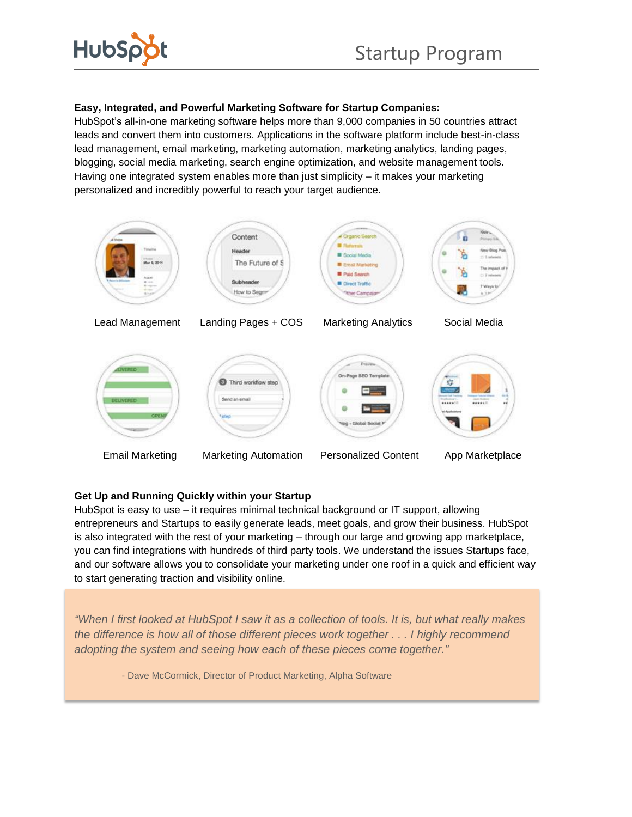

# **Easy, Integrated, and Powerful Marketing Software for Startup Companies:**

HubSpot's all-in-one marketing software helps more than 9,000 companies in 50 countries attract leads and convert them into customers. Applications in the software platform include best-in-class lead management, email marketing, marketing automation, marketing analytics, landing pages, blogging, social media marketing, search engine optimization, and website management tools. Having one integrated system enables more than just simplicity – it makes your marketing personalized and incredibly powerful to reach your target audience.



### **Get Up and Running Quickly within your Startup**

HubSpot is easy to use – it requires minimal technical background or IT support, allowing entrepreneurs and Startups to easily generate leads, meet goals, and grow their business. HubSpot is also integrated with the rest of your marketing – through our large and growing app marketplace, you can find integrations with hundreds of third party tools. We understand the issues Startups face, and our software allows you to consolidate your marketing under one roof in a quick and efficient way to start generating traction and visibility online.

*"When I first looked at HubSpot I saw it as a collection of tools. It is, but what really makes the difference is how all of those different pieces work together . . . I highly recommend adopting the system and seeing how each of these pieces come together."*

- Dave McCormick, Director of Product Marketing, Alpha Software